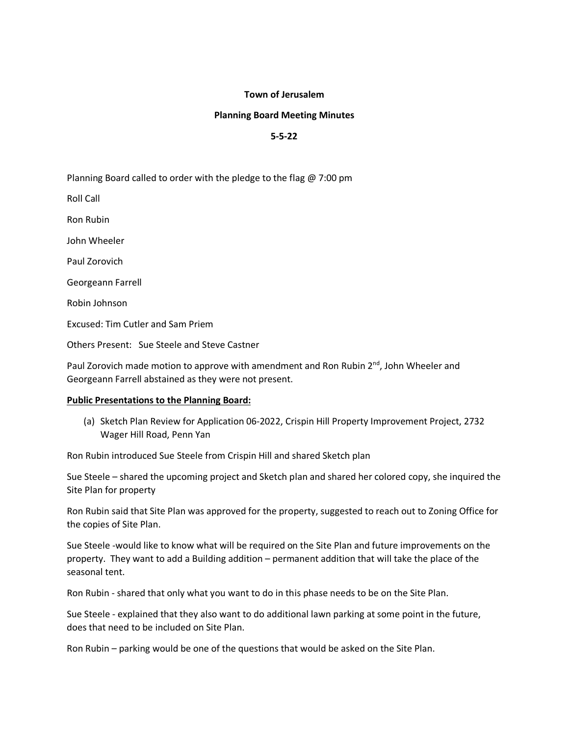## **Town of Jerusalem**

## **Planning Board Meeting Minutes**

## **5-5-22**

Planning Board called to order with the pledge to the flag @ 7:00 pm

Roll Call

Ron Rubin

John Wheeler

Paul Zorovich

Georgeann Farrell

Robin Johnson

Excused: Tim Cutler and Sam Priem

Others Present: Sue Steele and Steve Castner

Paul Zorovich made motion to approve with amendment and Ron Rubin 2<sup>nd</sup>, John Wheeler and Georgeann Farrell abstained as they were not present.

## **Public Presentations to the Planning Board:**

(a) Sketch Plan Review for Application 06-2022, Crispin Hill Property Improvement Project, 2732 Wager Hill Road, Penn Yan

Ron Rubin introduced Sue Steele from Crispin Hill and shared Sketch plan

Sue Steele – shared the upcoming project and Sketch plan and shared her colored copy, she inquired the Site Plan for property

Ron Rubin said that Site Plan was approved for the property, suggested to reach out to Zoning Office for the copies of Site Plan.

Sue Steele -would like to know what will be required on the Site Plan and future improvements on the property. They want to add a Building addition – permanent addition that will take the place of the seasonal tent.

Ron Rubin - shared that only what you want to do in this phase needs to be on the Site Plan.

Sue Steele - explained that they also want to do additional lawn parking at some point in the future, does that need to be included on Site Plan.

Ron Rubin – parking would be one of the questions that would be asked on the Site Plan.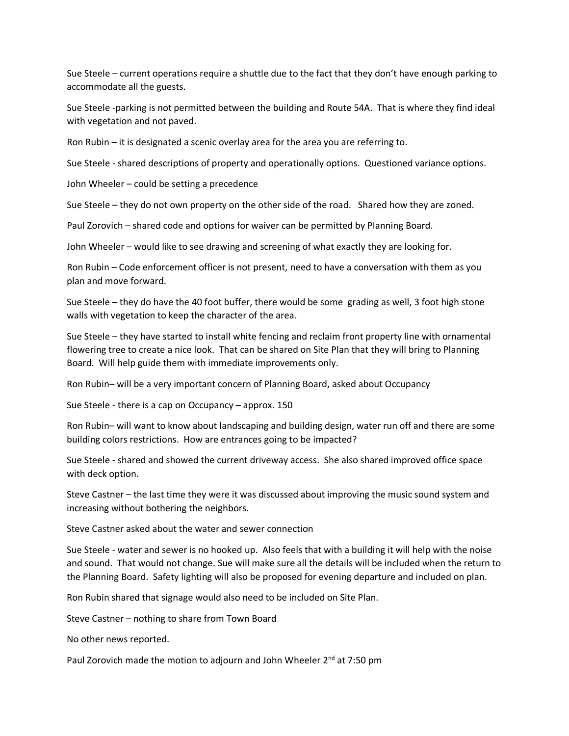Sue Steele – current operations require a shuttle due to the fact that they don't have enough parking to accommodate all the guests.

Sue Steele -parking is not permitted between the building and Route 54A. That is where they find ideal with vegetation and not paved.

Ron Rubin – it is designated a scenic overlay area for the area you are referring to.

Sue Steele - shared descriptions of property and operationally options. Questioned variance options.

John Wheeler – could be setting a precedence

Sue Steele – they do not own property on the other side of the road. Shared how they are zoned.

Paul Zorovich – shared code and options for waiver can be permitted by Planning Board.

John Wheeler – would like to see drawing and screening of what exactly they are looking for.

Ron Rubin – Code enforcement officer is not present, need to have a conversation with them as you plan and move forward.

Sue Steele – they do have the 40 foot buffer, there would be some grading as well, 3 foot high stone walls with vegetation to keep the character of the area.

Sue Steele – they have started to install white fencing and reclaim front property line with ornamental flowering tree to create a nice look. That can be shared on Site Plan that they will bring to Planning Board. Will help guide them with immediate improvements only.

Ron Rubin– will be a very important concern of Planning Board, asked about Occupancy

Sue Steele - there is a cap on Occupancy – approx. 150

Ron Rubin– will want to know about landscaping and building design, water run off and there are some building colors restrictions. How are entrances going to be impacted?

Sue Steele - shared and showed the current driveway access. She also shared improved office space with deck option.

Steve Castner – the last time they were it was discussed about improving the music sound system and increasing without bothering the neighbors.

Steve Castner asked about the water and sewer connection

Sue Steele - water and sewer is no hooked up. Also feels that with a building it will help with the noise and sound. That would not change. Sue will make sure all the details will be included when the return to the Planning Board. Safety lighting will also be proposed for evening departure and included on plan.

Ron Rubin shared that signage would also need to be included on Site Plan.

Steve Castner – nothing to share from Town Board

No other news reported.

Paul Zorovich made the motion to adjourn and John Wheeler  $2^{nd}$  at 7:50 pm